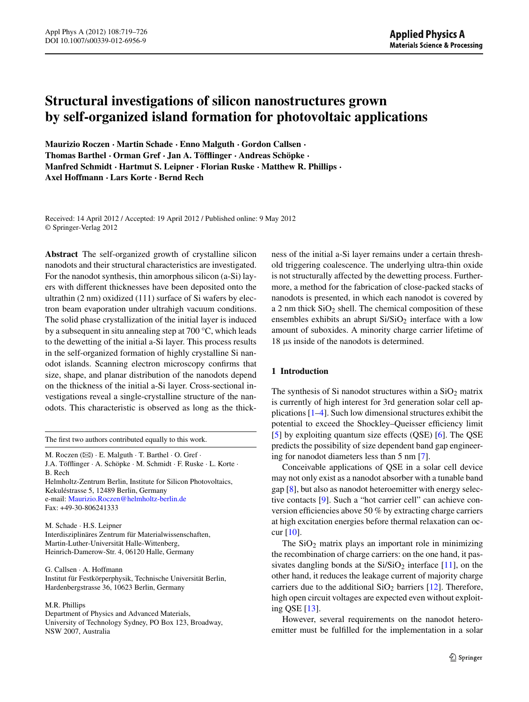# **Structural investigations of silicon nanostructures grown by self-organized island formation for photovoltaic applications**

**Maurizio Roczen · Martin Schade · Enno Malguth · Gordon Callsen · Thomas Barthel · Orman Gref · Jan A. Töfflinger · Andreas Schöpke · Manfred Schmidt · Hartmut S. Leipner · Florian Ruske · Matthew R. Phillips · Axel Hoffmann · Lars Korte · Bernd Rech**

Received: 14 April 2012 / Accepted: 19 April 2012 / Published online: 9 May 2012 © Springer-Verlag 2012

**Abstract** The self-organized growth of crystalline silicon nanodots and their structural characteristics are investigated. For the nanodot synthesis, thin amorphous silicon (a-Si) layers with different thicknesses have been deposited onto the ultrathin (2 nm) oxidized (111) surface of Si wafers by electron beam evaporation under ultrahigh vacuum conditions. The solid phase crystallization of the initial layer is induced by a subsequent in situ annealing step at 700 °C, which leads to the dewetting of the initial a-Si layer. This process results in the self-organized formation of highly crystalline Si nanodot islands. Scanning electron microscopy confirms that size, shape, and planar distribution of the nanodots depend on the thickness of the initial a-Si layer. Cross-sectional investigations reveal a single-crystalline structure of the nanodots. This characteristic is observed as long as the thick-

The first two authors contributed equally to this work.

M. Roczen  $(\boxtimes) \cdot$  E. Malguth  $\cdot$  T. Barthel  $\cdot$  O. Gref  $\cdot$ J.A. Töfflinger · A. Schöpke · M. Schmidt · F. Ruske · L. Korte · B. Rech Helmholtz-Zentrum Berlin, Institute for Silicon Photovoltaics, Kekuléstrasse 5, 12489 Berlin, Germany

e-mail: [Maurizio.Roczen@helmholtz-berlin.de](mailto:Maurizio.Roczen@helmholtz-berlin.de) Fax: +49-30-806241333

M. Schade · H.S. Leipner Interdisziplinäres Zentrum für Materialwissenschaften, Martin-Luther-Universität Halle-Wittenberg, Heinrich-Damerow-Str. 4, 06120 Halle, Germany

G. Callsen · A. Hoffmann Institut für Festkörperphysik, Technische Universität Berlin, Hardenbergstrasse 36, 10623 Berlin, Germany

## M.R. Phillips

Department of Physics and Advanced Materials, University of Technology Sydney, PO Box 123, Broadway, NSW 2007, Australia

ness of the initial a-Si layer remains under a certain threshold triggering coalescence. The underlying ultra-thin oxide is not structurally affected by the dewetting process. Furthermore, a method for the fabrication of close-packed stacks of nanodots is presented, in which each nanodot is covered by a 2 nm thick  $SiO<sub>2</sub>$  shell. The chemical composition of these ensembles exhibits an abrupt  $Si/SiO<sub>2</sub>$  interface with a low amount of suboxides. A minority charge carrier lifetime of 18 μs inside of the nanodots is determined.

## **1 Introduction**

The synthesis of Si nanodot structures within a  $SiO<sub>2</sub>$  matrix is currently of high interest for 3rd generation solar cell applications [[1–](#page-6-0)[4\]](#page-6-1). Such low dimensional structures exhibit the potential to exceed the Shockley–Queisser efficiency limit [\[5](#page-6-2)] by exploiting quantum size effects (QSE) [\[6](#page-6-3)]. The QSE predicts the possibility of size dependent band gap engineering for nanodot diameters less than 5 nm [\[7](#page-6-4)].

Conceivable applications of QSE in a solar cell device may not only exist as a nanodot absorber with a tunable band gap [[8\]](#page-6-5), but also as nanodot heteroemitter with energy selective contacts [\[9](#page-6-6)]. Such a "hot carrier cell" can achieve conversion efficiencies above 50 % by extracting charge carriers at high excitation energies before thermal relaxation can occur  $[10]$  $[10]$ .

The  $SiO<sub>2</sub>$  matrix plays an important role in minimizing the recombination of charge carriers: on the one hand, it passivates dangling bonds at the  $Si/SiO<sub>2</sub>$  interface [\[11](#page-6-8)], on the other hand, it reduces the leakage current of majority charge carriers due to the additional  $SiO<sub>2</sub>$  barriers [[12\]](#page-6-9). Therefore, high open circuit voltages are expected even without exploiting QSE [[13\]](#page-6-10).

However, several requirements on the nanodot heteroemitter must be fulfilled for the implementation in a solar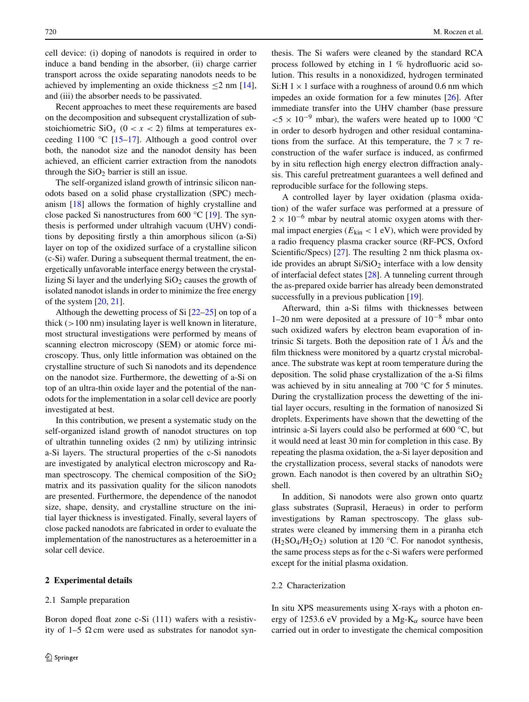cell device: (i) doping of nanodots is required in order to induce a band bending in the absorber, (ii) charge carrier transport across the oxide separating nanodots needs to be achieved by implementing an oxide thickness  $\leq 2$  nm [\[14](#page-6-11)], and (iii) the absorber needs to be passivated.

Recent approaches to meet these requirements are based on the decomposition and subsequent crystallization of substoichiometric  $\text{SiO}_x$  ( $0 < x < 2$ ) films at temperatures exceeding 1100  $\degree$ C [[15–](#page-6-12)[17\]](#page-7-0). Although a good control over both, the nanodot size and the nanodot density has been achieved, an efficient carrier extraction from the nanodots through the  $SiO<sub>2</sub>$  barrier is still an issue.

The self-organized island growth of intrinsic silicon nanodots based on a solid phase crystallization (SPC) mechanism [[18\]](#page-7-1) allows the formation of highly crystalline and close packed Si nanostructures from 600  $^{\circ}$ C [[19\]](#page-7-2). The synthesis is performed under ultrahigh vacuum (UHV) conditions by depositing firstly a thin amorphous silicon (a-Si) layer on top of the oxidized surface of a crystalline silicon (c-Si) wafer. During a subsequent thermal treatment, the energetically unfavorable interface energy between the crystallizing Si layer and the underlying  $SiO<sub>2</sub>$  causes the growth of isolated nanodot islands in order to minimize the free energy of the system  $[20, 21]$  $[20, 21]$  $[20, 21]$  $[20, 21]$ .

Although the dewetting process of Si [[22–](#page-7-5)[25\]](#page-7-6) on top of a thick (*>*100 nm) insulating layer is well known in literature, most structural investigations were performed by means of scanning electron microscopy (SEM) or atomic force microscopy. Thus, only little information was obtained on the crystalline structure of such Si nanodots and its dependence on the nanodot size. Furthermore, the dewetting of a-Si on top of an ultra-thin oxide layer and the potential of the nanodots for the implementation in a solar cell device are poorly investigated at best.

In this contribution, we present a systematic study on the self-organized island growth of nanodot structures on top of ultrathin tunneling oxides (2 nm) by utilizing intrinsic a-Si layers. The structural properties of the c-Si nanodots are investigated by analytical electron microscopy and Raman spectroscopy. The chemical composition of the  $SiO<sub>2</sub>$ matrix and its passivation quality for the silicon nanodots are presented. Furthermore, the dependence of the nanodot size, shape, density, and crystalline structure on the initial layer thickness is investigated. Finally, several layers of close packed nanodots are fabricated in order to evaluate the implementation of the nanostructures as a heteroemitter in a solar cell device.

## **2 Experimental details**

## 2.1 Sample preparation

Boron doped float zone c-Si (111) wafers with a resistivity of  $1-5$   $\Omega$  cm were used as substrates for nanodot synthesis. The Si wafers were cleaned by the standard RCA process followed by etching in 1 % hydrofluoric acid solution. This results in a nonoxidized, hydrogen terminated Si:H  $1 \times 1$  surface with a roughness of around 0.6 nm which impedes an oxide formation for a few minutes [[26\]](#page-7-7). After immediate transfer into the UHV chamber (base pressure  $<$  5  $\times$  10<sup>-9</sup> mbar), the wafers were heated up to 1000 °C in order to desorb hydrogen and other residual contaminations from the surface. At this temperature, the  $7 \times 7$  reconstruction of the wafer surface is induced, as confirmed by in situ reflection high energy electron diffraction analysis. This careful pretreatment guarantees a well defined and reproducible surface for the following steps.

A controlled layer by layer oxidation (plasma oxidation) of the wafer surface was performed at a pressure of  $2 \times 10^{-6}$  mbar by neutral atomic oxygen atoms with thermal impact energies ( $E_{\text{kin}} < 1 \text{ eV}$ ), which were provided by a radio frequency plasma cracker source (RF-PCS, Oxford Scientific/Specs) [[27\]](#page-7-8). The resulting 2 nm thick plasma oxide provides an abrupt  $Si/SiO<sub>2</sub>$  interface with a low density of interfacial defect states [\[28](#page-7-9)]. A tunneling current through the as-prepared oxide barrier has already been demonstrated successfully in a previous publication [\[19](#page-7-2)].

Afterward, thin a-Si films with thicknesses between 1–20 nm were deposited at a pressure of  $10^{-8}$  mbar onto such oxidized wafers by electron beam evaporation of intrinsic Si targets. Both the deposition rate of 1 Å/s and the film thickness were monitored by a quartz crystal microbalance. The substrate was kept at room temperature during the deposition. The solid phase crystallization of the a-Si films was achieved by in situ annealing at 700 °C for 5 minutes. During the crystallization process the dewetting of the initial layer occurs, resulting in the formation of nanosized Si droplets. Experiments have shown that the dewetting of the intrinsic a-Si layers could also be performed at 600 °C, but it would need at least 30 min for completion in this case. By repeating the plasma oxidation, the a-Si layer deposition and the crystallization process, several stacks of nanodots were grown. Each nanodot is then covered by an ultrathin  $SiO<sub>2</sub>$ shell.

In addition, Si nanodots were also grown onto quartz glass substrates (Suprasil, Heraeus) in order to perform investigations by Raman spectroscopy. The glass substrates were cleaned by immersing them in a piranha etch  $(H_2SO_4/H_2O_2)$  solution at 120 °C. For nanodot synthesis, the same process steps as for the c-Si wafers were performed except for the initial plasma oxidation.

# 2.2 Characterization

In situ XPS measurements using X-rays with a photon energy of 1253.6 eV provided by a Mg-K*<sup>α</sup>* source have been carried out in order to investigate the chemical composition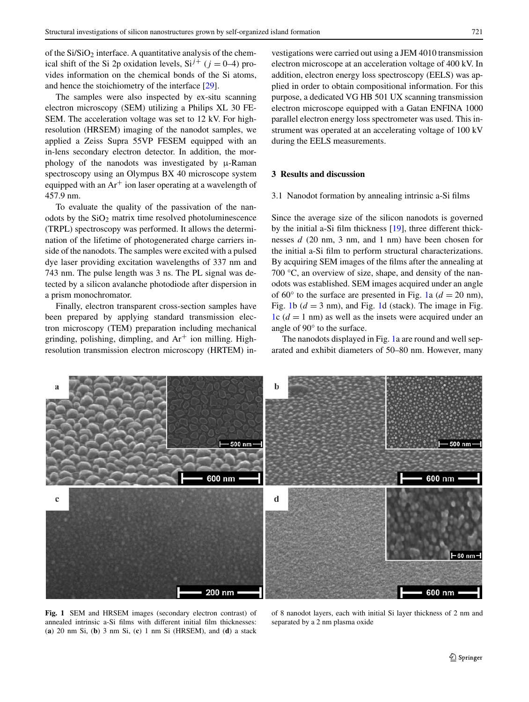of the  $Si/SiO<sub>2</sub>$  interface. A quantitative analysis of the chemical shift of the Si 2p oxidation levels,  $Si^{j+}$  ( $j = 0-4$ ) provides information on the chemical bonds of the Si atoms, and hence the stoichiometry of the interface [\[29](#page-7-10)].

The samples were also inspected by ex-situ scanning electron microscopy (SEM) utilizing a Philips XL 30 FE-SEM. The acceleration voltage was set to 12 kV. For highresolution (HRSEM) imaging of the nanodot samples, we applied a Zeiss Supra 55VP FESEM equipped with an in-lens secondary electron detector. In addition, the morphology of the nanodots was investigated by μ-Raman spectroscopy using an Olympus BX 40 microscope system equipped with an  $Ar^+$  ion laser operating at a wavelength of 457.9 nm.

To evaluate the quality of the passivation of the nanodots by the  $SiO<sub>2</sub>$  matrix time resolved photoluminescence (TRPL) spectroscopy was performed. It allows the determination of the lifetime of photogenerated charge carriers inside of the nanodots. The samples were excited with a pulsed dye laser providing excitation wavelengths of 337 nm and 743 nm. The pulse length was 3 ns. The PL signal was detected by a silicon avalanche photodiode after dispersion in a prism monochromator.

Finally, electron transparent cross-section samples have been prepared by applying standard transmission electron microscopy (TEM) preparation including mechanical grinding, polishing, dimpling, and  $Ar^+$  ion milling. Highresolution transmission electron microscopy (HRTEM) investigations were carried out using a JEM 4010 transmission electron microscope at an acceleration voltage of 400 kV. In addition, electron energy loss spectroscopy (EELS) was applied in order to obtain compositional information. For this purpose, a dedicated VG HB 501 UX scanning transmission electron microscope equipped with a Gatan ENFINA 1000 parallel electron energy loss spectrometer was used. This instrument was operated at an accelerating voltage of 100 kV during the EELS measurements.

# <span id="page-2-1"></span>**3 Results and discussion**

## 3.1 Nanodot formation by annealing intrinsic a-Si films

Since the average size of the silicon nanodots is governed by the initial a-Si film thickness [[19\]](#page-7-2), three different thicknesses *d* (20 nm, 3 nm, and 1 nm) have been chosen for the initial a-Si film to perform structural characterizations. By acquiring SEM images of the films after the annealing at 700 °C, an overview of size, shape, and density of the nanodots was established. SEM images acquired under an angle of 60 $^{\circ}$  to the surface are presented in Fig. [1](#page-2-0)a ( $d = 20$  nm), Fig. [1b](#page-2-0)  $(d = 3$  nm), and Fig. [1d](#page-2-0) (stack). The image in Fig. [1c](#page-2-0)  $(d = 1)$  nm as well as the insets were acquired under an angle of 90° to the surface.

The nanodots displayed in Fig. [1](#page-2-0)a are round and well separated and exhibit diameters of 50–80 nm. However, many



<span id="page-2-0"></span>**Fig. 1** SEM and HRSEM images (secondary electron contrast) of annealed intrinsic a-Si films with different initial film thicknesses: (**a**) 20 nm Si, (**b**) 3 nm Si, (**c**) 1 nm Si (HRSEM), and (**d**) a stack

of 8 nanodot layers, each with initial Si layer thickness of 2 nm and separated by a 2 nm plasma oxide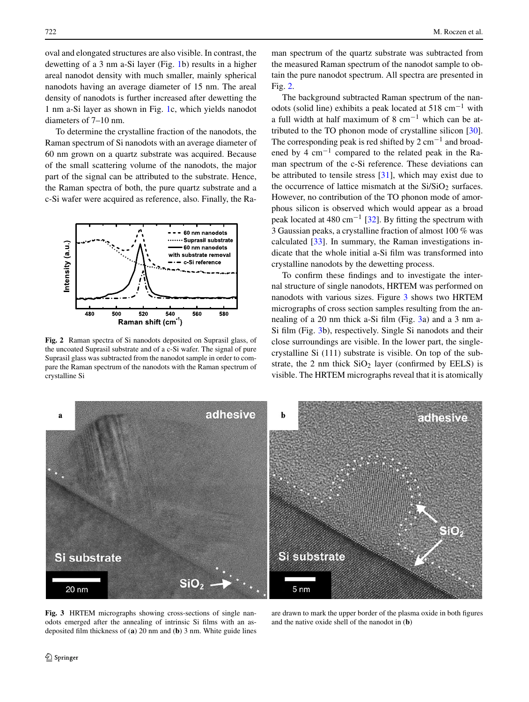oval and elongated structures are also visible. In contrast, the dewetting of a 3 nm a-Si layer (Fig. [1b](#page-2-0)) results in a higher areal nanodot density with much smaller, mainly spherical nanodots having an average diameter of 15 nm. The areal density of nanodots is further increased after dewetting the 1 nm a-Si layer as shown in Fig. [1](#page-2-0)c, which yields nanodot diameters of 7–10 nm.

To determine the crystalline fraction of the nanodots, the Raman spectrum of Si nanodots with an average diameter of 60 nm grown on a quartz substrate was acquired. Because of the small scattering volume of the nanodots, the major part of the signal can be attributed to the substrate. Hence, the Raman spectra of both, the pure quartz substrate and a c-Si wafer were acquired as reference, also. Finally, the Ra-



<span id="page-3-0"></span>**Fig. 2** Raman spectra of Si nanodots deposited on Suprasil glass, of the uncoated Suprasil substrate and of a c-Si wafer. The signal of pure Suprasil glass was subtracted from the nanodot sample in order to compare the Raman spectrum of the nanodots with the Raman spectrum of crystalline Si

man spectrum of the quartz substrate was subtracted from the measured Raman spectrum of the nanodot sample to obtain the pure nanodot spectrum. All spectra are presented in Fig. [2](#page-3-0).

The background subtracted Raman spectrum of the nanodots (solid line) exhibits a peak located at  $518 \text{ cm}^{-1}$  with a full width at half maximum of 8 cm<sup>-1</sup> which can be attributed to the TO phonon mode of crystalline silicon [\[30](#page-7-11)]. The corresponding peak is red shifted by 2  $cm^{-1}$  and broadened by 4  $cm^{-1}$  compared to the related peak in the Raman spectrum of the c-Si reference. These deviations can be attributed to tensile stress [\[31](#page-7-12)], which may exist due to the occurrence of lattice mismatch at the  $Si/SiO<sub>2</sub>$  surfaces. However, no contribution of the TO phonon mode of amorphous silicon is observed which would appear as a broad peak located at 480 cm<sup>-1</sup> [[32\]](#page-7-13). By fitting the spectrum with 3 Gaussian peaks, a crystalline fraction of almost 100 % was calculated [\[33](#page-7-14)]. In summary, the Raman investigations indicate that the whole initial a-Si film was transformed into crystalline nanodots by the dewetting process.

To confirm these findings and to investigate the internal structure of single nanodots, HRTEM was performed on nanodots with various sizes. Figure [3](#page-3-1) shows two HRTEM micrographs of cross section samples resulting from the annealing of a 20 nm thick a-Si film (Fig. [3a](#page-3-1)) and a 3 nm a-Si film (Fig. [3](#page-3-1)b), respectively. Single Si nanodots and their close surroundings are visible. In the lower part, the singlecrystalline Si (111) substrate is visible. On top of the substrate, the 2 nm thick  $SiO<sub>2</sub>$  layer (confirmed by EELS) is visible. The HRTEM micrographs reveal that it is atomically



<span id="page-3-1"></span>**Fig. 3** HRTEM micrographs showing cross-sections of single nanodots emerged after the annealing of intrinsic Si films with an asdeposited film thickness of (**a**) 20 nm and (**b**) 3 nm. White guide lines

are drawn to mark the upper border of the plasma oxide in both figures and the native oxide shell of the nanodot in (**b**)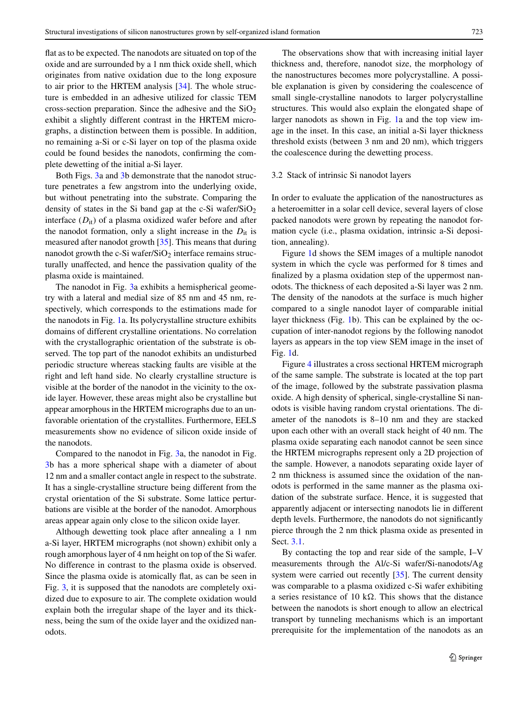flat as to be expected. The nanodots are situated on top of the oxide and are surrounded by a 1 nm thick oxide shell, which originates from native oxidation due to the long exposure to air prior to the HRTEM analysis [[34\]](#page-7-15). The whole structure is embedded in an adhesive utilized for classic TEM cross-section preparation. Since the adhesive and the  $SiO<sub>2</sub>$ exhibit a slightly different contrast in the HRTEM micrographs, a distinction between them is possible. In addition, no remaining a-Si or c-Si layer on top of the plasma oxide could be found besides the nanodots, confirming the complete dewetting of the initial a-Si layer.

Both Figs. [3a](#page-3-1) and [3b](#page-3-1) demonstrate that the nanodot structure penetrates a few angstrom into the underlying oxide, but without penetrating into the substrate. Comparing the density of states in the Si band gap at the c-Si wafer/ $SiO<sub>2</sub>$ interface  $(D_{it})$  of a plasma oxidized wafer before and after the nanodot formation, only a slight increase in the  $D_{it}$  is measured after nanodot growth [[35\]](#page-7-16). This means that during nanodot growth the c-Si wafer/ $SiO<sub>2</sub>$  interface remains structurally unaffected, and hence the passivation quality of the plasma oxide is maintained.

The nanodot in Fig. [3a](#page-3-1) exhibits a hemispherical geometry with a lateral and medial size of 85 nm and 45 nm, respectively, which corresponds to the estimations made for the nanodots in Fig. [1](#page-2-0)a. Its polycrystalline structure exhibits domains of different crystalline orientations. No correlation with the crystallographic orientation of the substrate is observed. The top part of the nanodot exhibits an undisturbed periodic structure whereas stacking faults are visible at the right and left hand side. No clearly crystalline structure is visible at the border of the nanodot in the vicinity to the oxide layer. However, these areas might also be crystalline but appear amorphous in the HRTEM micrographs due to an unfavorable orientation of the crystallites. Furthermore, EELS measurements show no evidence of silicon oxide inside of the nanodots.

Compared to the nanodot in Fig. [3](#page-3-1)a, the nanodot in Fig. [3b](#page-3-1) has a more spherical shape with a diameter of about 12 nm and a smaller contact angle in respect to the substrate. It has a single-crystalline structure being different from the crystal orientation of the Si substrate. Some lattice perturbations are visible at the border of the nanodot. Amorphous areas appear again only close to the silicon oxide layer.

Although dewetting took place after annealing a 1 nm a-Si layer, HRTEM micrographs (not shown) exhibit only a rough amorphous layer of 4 nm height on top of the Si wafer. No difference in contrast to the plasma oxide is observed. Since the plasma oxide is atomically flat, as can be seen in Fig. [3,](#page-3-1) it is supposed that the nanodots are completely oxidized due to exposure to air. The complete oxidation would explain both the irregular shape of the layer and its thickness, being the sum of the oxide layer and the oxidized nanodots.

The observations show that with increasing initial layer thickness and, therefore, nanodot size, the morphology of the nanostructures becomes more polycrystalline. A possible explanation is given by considering the coalescence of small single-crystalline nanodots to larger polycrystalline structures. This would also explain the elongated shape of larger nanodots as shown in Fig. [1](#page-2-0)a and the top view image in the inset. In this case, an initial a-Si layer thickness threshold exists (between 3 nm and 20 nm), which triggers the coalescence during the dewetting process.

# 3.2 Stack of intrinsic Si nanodot layers

In order to evaluate the application of the nanostructures as a heteroemitter in a solar cell device, several layers of close packed nanodots were grown by repeating the nanodot formation cycle (i.e., plasma oxidation, intrinsic a-Si deposition, annealing).

Figure [1d](#page-2-0) shows the SEM images of a multiple nanodot system in which the cycle was performed for 8 times and finalized by a plasma oxidation step of the uppermost nanodots. The thickness of each deposited a-Si layer was 2 nm. The density of the nanodots at the surface is much higher compared to a single nanodot layer of comparable initial layer thickness (Fig. [1b](#page-2-0)). This can be explained by the occupation of inter-nanodot regions by the following nanodot layers as appears in the top view SEM image in the inset of Fig. [1](#page-2-0)d.

Figure [4](#page-5-0) illustrates a cross sectional HRTEM micrograph of the same sample. The substrate is located at the top part of the image, followed by the substrate passivation plasma oxide. A high density of spherical, single-crystalline Si nanodots is visible having random crystal orientations. The diameter of the nanodots is 8–10 nm and they are stacked upon each other with an overall stack height of 40 nm. The plasma oxide separating each nanodot cannot be seen since the HRTEM micrographs represent only a 2D projection of the sample. However, a nanodots separating oxide layer of 2 nm thickness is assumed since the oxidation of the nanodots is performed in the same manner as the plasma oxidation of the substrate surface. Hence, it is suggested that apparently adjacent or intersecting nanodots lie in different depth levels. Furthermore, the nanodots do not significantly pierce through the 2 nm thick plasma oxide as presented in Sect. [3.1](#page-2-1).

By contacting the top and rear side of the sample, I–V measurements through the Al/c-Si wafer/Si-nanodots/Ag system were carried out recently [[35\]](#page-7-16). The current density was comparable to a plasma oxidized c-Si wafer exhibiting a series resistance of 10 k $\Omega$ . This shows that the distance between the nanodots is short enough to allow an electrical transport by tunneling mechanisms which is an important prerequisite for the implementation of the nanodots as an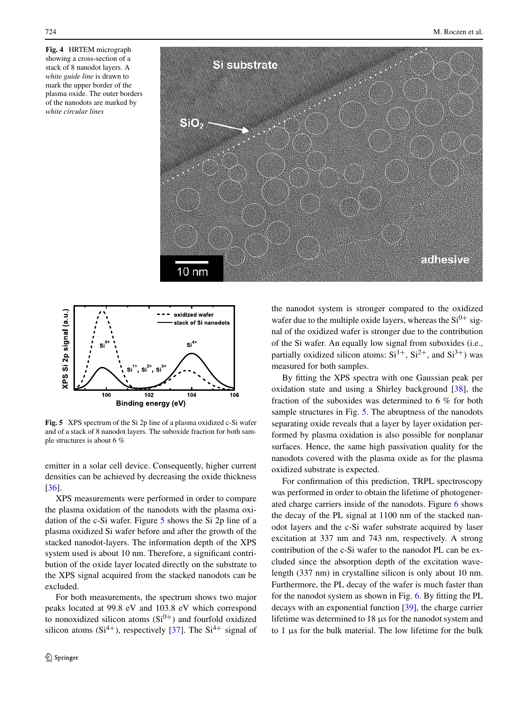<span id="page-5-0"></span>**Fig. 4** HRTEM micrograph showing a cross-section of a stack of 8 nanodot layers. A *white guide line* is drawn to mark the upper border of the plasma oxide. The outer borders of the nanodots are marked by *white circular lines*





<span id="page-5-1"></span>**Fig. 5** XPS spectrum of the Si 2p line of a plasma oxidized c-Si wafer and of a stack of 8 nanodot layers. The suboxide fraction for both sample structures is about 6 %

emitter in a solar cell device. Consequently, higher current densities can be achieved by decreasing the oxide thickness [\[36](#page-7-17)].

XPS measurements were performed in order to compare the plasma oxidation of the nanodots with the plasma oxidation of the c-Si wafer. Figure [5](#page-5-1) shows the Si 2p line of a plasma oxidized Si wafer before and after the growth of the stacked nanodot-layers. The information depth of the XPS system used is about 10 nm. Therefore, a significant contribution of the oxide layer located directly on the substrate to the XPS signal acquired from the stacked nanodots can be excluded.

For both measurements, the spectrum shows two major peaks located at 99.8 eV and 103.8 eV which correspond to nonoxidized silicon atoms  $(Si^{0+})$  and fourfold oxidized silicon atoms  $(Si^{4+})$ , respectively [\[37](#page-7-18)]. The  $Si^{4+}$  signal of the nanodot system is stronger compared to the oxidized wafer due to the multiple oxide layers, whereas the  $Si^{0+}$  signal of the oxidized wafer is stronger due to the contribution of the Si wafer. An equally low signal from suboxides (i.e., partially oxidized silicon atoms:  $Si^{1+}$ ,  $Si^{2+}$ , and  $Si^{3+}$ ) was measured for both samples.

By fitting the XPS spectra with one Gaussian peak per oxidation state and using a Shirley background [[38\]](#page-7-19), the fraction of the suboxides was determined to 6 % for both sample structures in Fig. [5.](#page-5-1) The abruptness of the nanodots separating oxide reveals that a layer by layer oxidation performed by plasma oxidation is also possible for nonplanar surfaces. Hence, the same high passivation quality for the nanodots covered with the plasma oxide as for the plasma oxidized substrate is expected.

For confirmation of this prediction, TRPL spectroscopy was performed in order to obtain the lifetime of photogenerated charge carriers inside of the nanodots. Figure [6](#page-6-13) shows the decay of the PL signal at 1100 nm of the stacked nanodot layers and the c-Si wafer substrate acquired by laser excitation at 337 nm and 743 nm, respectively. A strong contribution of the c-Si wafer to the nanodot PL can be excluded since the absorption depth of the excitation wavelength (337 nm) in crystalline silicon is only about 10 nm. Furthermore, the PL decay of the wafer is much faster than for the nanodot system as shown in Fig. [6](#page-6-13). By fitting the PL decays with an exponential function [[39\]](#page-7-20), the charge carrier lifetime was determined to 18 μs for the nanodot system and to 1 μs for the bulk material. The low lifetime for the bulk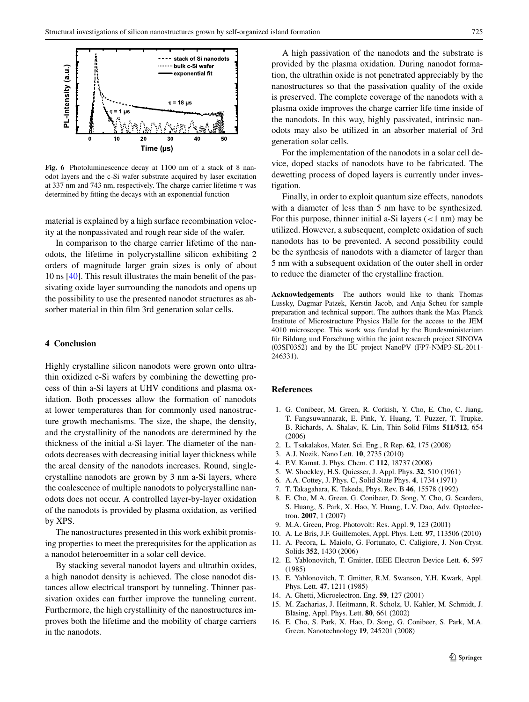

<span id="page-6-13"></span>**Fig. 6** Photoluminescence decay at 1100 nm of a stack of 8 nanodot layers and the c-Si wafer substrate acquired by laser excitation at 337 nm and 743 nm, respectively. The charge carrier lifetime τ was determined by fitting the decays with an exponential function

material is explained by a high surface recombination velocity at the nonpassivated and rough rear side of the wafer.

In comparison to the charge carrier lifetime of the nanodots, the lifetime in polycrystalline silicon exhibiting 2 orders of magnitude larger grain sizes is only of about 10 ns [[40\]](#page-7-21). This result illustrates the main benefit of the passivating oxide layer surrounding the nanodots and opens up the possibility to use the presented nanodot structures as absorber material in thin film 3rd generation solar cells.

## **4 Conclusion**

Highly crystalline silicon nanodots were grown onto ultrathin oxidized c-Si wafers by combining the dewetting process of thin a-Si layers at UHV conditions and plasma oxidation. Both processes allow the formation of nanodots at lower temperatures than for commonly used nanostructure growth mechanisms. The size, the shape, the density, and the crystallinity of the nanodots are determined by the thickness of the initial a-Si layer. The diameter of the nanodots decreases with decreasing initial layer thickness while the areal density of the nanodots increases. Round, singlecrystalline nanodots are grown by 3 nm a-Si layers, where the coalescence of multiple nanodots to polycrystalline nanodots does not occur. A controlled layer-by-layer oxidation of the nanodots is provided by plasma oxidation, as verified by XPS.

The nanostructures presented in this work exhibit promising properties to meet the prerequisites for the application as a nanodot heteroemitter in a solar cell device.

By stacking several nanodot layers and ultrathin oxides, a high nanodot density is achieved. The close nanodot distances allow electrical transport by tunneling. Thinner passivation oxides can further improve the tunneling current. Furthermore, the high crystallinity of the nanostructures improves both the lifetime and the mobility of charge carriers in the nanodots.

A high passivation of the nanodots and the substrate is provided by the plasma oxidation. During nanodot formation, the ultrathin oxide is not penetrated appreciably by the nanostructures so that the passivation quality of the oxide is preserved. The complete coverage of the nanodots with a plasma oxide improves the charge carrier life time inside of the nanodots. In this way, highly passivated, intrinsic nanodots may also be utilized in an absorber material of 3rd generation solar cells.

For the implementation of the nanodots in a solar cell device, doped stacks of nanodots have to be fabricated. The dewetting process of doped layers is currently under investigation.

Finally, in order to exploit quantum size effects, nanodots with a diameter of less than 5 nm have to be synthesized. For this purpose, thinner initial a-Si layers (*<*1 nm) may be utilized. However, a subsequent, complete oxidation of such nanodots has to be prevented. A second possibility could be the synthesis of nanodots with a diameter of larger than 5 nm with a subsequent oxidation of the outer shell in order to reduce the diameter of the crystalline fraction.

<span id="page-6-0"></span>**Acknowledgements** The authors would like to thank Thomas Lussky, Dagmar Patzek, Kerstin Jacob, and Anja Scheu for sample preparation and technical support. The authors thank the Max Planck Institute of Microstructure Physics Halle for the access to the JEM 4010 microscope. This work was funded by the Bundesministerium für Bildung und Forschung within the joint research project SINOVA (03SF0352) and by the EU project NanoPV (FP7-NMP3-SL-2011- 246331).

#### <span id="page-6-4"></span><span id="page-6-3"></span><span id="page-6-2"></span><span id="page-6-1"></span>**References**

- <span id="page-6-5"></span>1. G. Conibeer, M. Green, R. Corkish, Y. Cho, E. Cho, C. Jiang, T. Fangsuwannarak, E. Pink, Y. Huang, T. Puzzer, T. Trupke, B. Richards, A. Shalav, K. Lin, Thin Solid Films **511/512**, 654 (2006)
- <span id="page-6-6"></span>2. L. Tsakalakos, Mater. Sci. Eng., R Rep. **62**, 175 (2008)
- <span id="page-6-8"></span><span id="page-6-7"></span>3. A.J. Nozik, Nano Lett. **10**, 2735 (2010)
- 4. P.V. Kamat, J. Phys. Chem. C **112**, 18737 (2008)
- 5. W. Shockley, H.S. Quiesser, J. Appl. Phys. **32**, 510 (1961)
- <span id="page-6-9"></span>6. A.A. Cottey, J. Phys. C, Solid State Phys. **4**, 1734 (1971)
- 7. T. Takagahara, K. Takeda, Phys. Rev. B **46**, 15578 (1992)
- <span id="page-6-10"></span>8. E. Cho, M.A. Green, G. Conibeer, D. Song, Y. Cho, G. Scardera, S. Huang, S. Park, X. Hao, Y. Huang, L.V. Dao, Adv. Optoelectron. **2007**, 1 (2007)
- 9. M.A. Green, Prog. Photovolt: Res. Appl. **9**, 123 (2001)
- <span id="page-6-12"></span><span id="page-6-11"></span>10. A. Le Bris, J.F. Guillemoles, Appl. Phys. Lett. **97**, 113506 (2010)
- 11. A. Pecora, L. Maiolo, G. Fortunato, C. Caligiore, J. Non-Cryst. Solids **352**, 1430 (2006)
- 12. E. Yablonovitch, T. Gmitter, IEEE Electron Device Lett. **6**, 597 (1985)
- 13. E. Yablonovitch, T. Gmitter, R.M. Swanson, Y.H. Kwark, Appl. Phys. Lett. **47**, 1211 (1985)
- 14. A. Ghetti, Microelectron. Eng. **59**, 127 (2001)
- 15. M. Zacharias, J. Heitmann, R. Scholz, U. Kahler, M. Schmidt, J. Bläsing, Appl. Phys. Lett. **80**, 661 (2002)
- 16. E. Cho, S. Park, X. Hao, D. Song, G. Conibeer, S. Park, M.A. Green, Nanotechnology **19**, 245201 (2008)